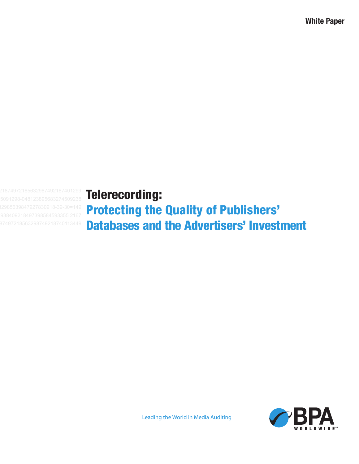**White Paper**

Telerecording:

Protecting the Quality of Publishers' Databases and the Advertisers' Investment



Leading the World in Media Auditing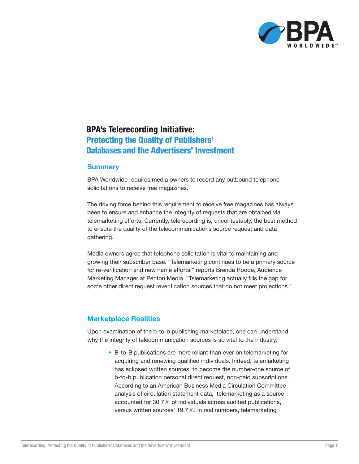

# BPA's Telerecording Initiative: Protecting the Quality of Publishers' Databases and the Advertisers' Investment

#### **Summary**

BPA Worldwide requires media owners to record any outbound telephone solicitations to receive free magazines.

The driving force behind this requirement to receive free magazines has always been to ensure and enhance the integrity of requests that are obtained via telemarketing efforts. Currently, telerecording is, uncontestably, the best method to ensure the quality of the telecommunications source request and data gathering.

Media owners agree that telephone solicitation is vital to maintaining and growing their subscriber base. "Telemarketing continues to be a primary source for re-verification and new name efforts," reports Brenda Roode, Audience Marketing Manager at Penton Media. "Telemarketing actually fills the gap for some other direct request reverification sources that do not meet projections."

#### **Marketplace Realities**

Upon examination of the b-to-b publishing marketplace, one can understand why the integrity of telecommunication sources is so vital to the industry.

> • B-to-B publications are more reliant than ever on telemarketing for acquiring and renewing qualified individuals. Indeed, telemarketing has eclipsed written sources, to become the number-one source of b-to-b publication personal direct request, non-paid subscriptions. According to an American Business Media Circulation Committee analysis of circulation statement data, telemarketing as a source accounted for 30.7% of individuals across audited publications, versus written sources' 19.7%. In real numbers, telemarketing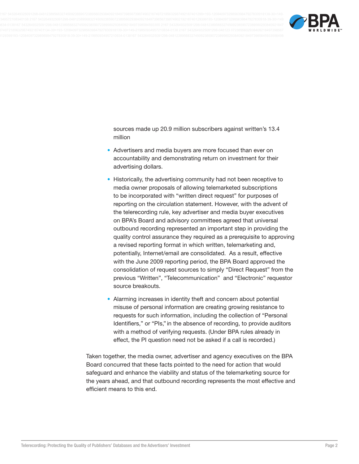

sources made up 20.9 million subscribers against written's 13.4 million

- Advertisers and media buyers are more focused than ever on accountability and demonstrating return on investment for their advertising dollars.
- Historically, the advertising community had not been receptive to media owner proposals of allowing telemarketed subscriptions to be incorporated with "written direct request" for purposes of reporting on the circulation statement. However, with the advent of the telerecording rule, key advertiser and media buyer executives on BPA's Board and advisory committees agreed that universal outbound recording represented an important step in providing the quality control assurance they required as a prerequisite to approving a revised reporting format in which written, telemarketing and, potentially, Internet/email are consolidated. As a result, effective with the June 2009 reporting period, the BPA Board approved the consolidation of request sources to simply "Direct Request" from the previous "Written", "Telecommunication" and "Electronic" requestor source breakouts.
- Alarming increases in identity theft and concern about potential misuse of personal information are creating growing resistance to requests for such information, including the collection of "Personal Identifiers," or "PIs," in the absence of recording, to provide auditors with a method of verifying requests. (Under BPA rules already in effect, the PI question need not be asked if a call is recorded.)

Taken together, the media owner, advertiser and agency executives on the BPA Board concurred that these facts pointed to the need for action that would safeguard and enhance the viability and status of the telemarketing source for the years ahead, and that outbound recording represents the most effective and efficient means to this end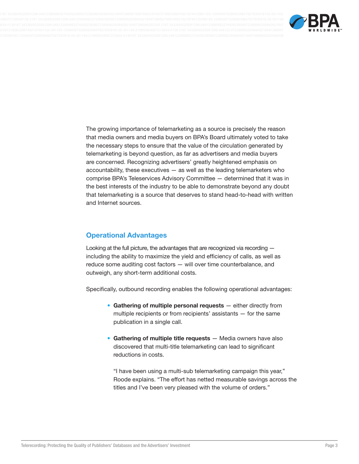

The growing importance of telemarketing as a source is precisely the reason that media owners and media buyers on BPA's Board ultimately voted to take the necessary steps to ensure that the value of the circulation generated by telemarketing is beyond question, as far as advertisers and media buyers are concerned. Recognizing advertisers' greatly heightened emphasis on accountability, these executives - as well as the leading telemarketers who comprise BPA's Teleservices Advisory Committee - determined that it was in the best interests of the industry to be able to demonstrate beyond any doubt that telemarketing is a source that deserves to stand head-to-head with written and Internet sources.

## **Operational Advantages**

Looking at the full picture, the advantages that are recognized via recording including the ability to maximize the yield and efficiency of calls, as well as reduce some auditing cost factors - will over time counterbalance, and outweigh, any short-term additional costs.

Specifically, outbound recording enables the following operational advantages:

- Gathering of multiple personal requests either directly from multiple recipients or from recipients' assistants - for the same publication in a single call.
- Gathering of multiple title requests Media owners have also discovered that multi-title telemarketing can lead to significant reductions in costs.

"I have been using a multi-sub telemarketing campaign this year," Roode explains. "The effort has netted measurable savings across the titles and I've been very pleased with the volume of orders."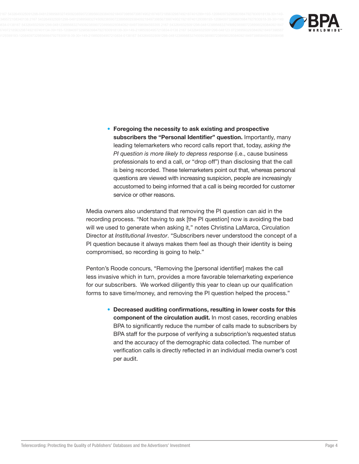

• Foregoing the necessity to ask existing and prospective subscribers the "Personal Identifier" question. Importantly, many leading telemarketers who record calls report that, today, asking the PI question is more likely to depress response (i.e., cause business professionals to end a call, or "drop off") than disclosing that the call is being recorded. These telemarketers point out that, whereas personal questions are viewed with increasing suspicion, people are increasingly accustomed to being informed that a call is being recorded for customer service or other reasons.

Media owners also understand that removing the PI question can aid in the recording process. "Not having to ask [the PI question] now is avoiding the bad will we used to generate when asking it," notes Christina LaMarca, Circulation Director at Institutional Investor. "Subscribers never understood the concept of a PI question because it always makes them feel as though their identity is being compromised, so recording is going to help."

Penton's Roode concurs, "Removing the [personal identifier] makes the call less invasive which in turn, provides a more favorable telemarketing experience for our subscribers. We worked diligently this year to clean up our qualification forms to save time/money, and removing the PI question helped the process."

> • Decreased auditing confirmations, resulting in lower costs for this component of the circulation audit. In most cases, recording enables BPA to significantly reduce the number of calls made to subscribers by BPA staff for the purpose of verifying a subscription's requested status and the accuracy of the demographic data collected. The number of verification calls is directly reflected in an individual media owner's cost per audit.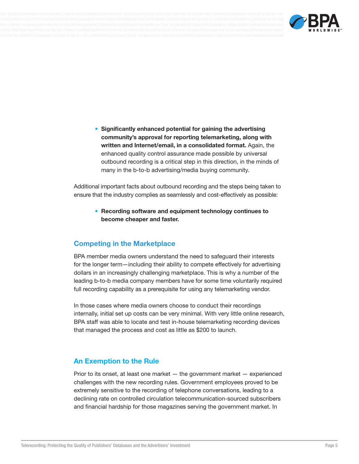

• Significantly enhanced potential for gaining the advertising community's approval for reporting telemarketing, along with written and Internet/email, in a consolidated format. Again, the enhanced quality control assurance made possible by universal outbound recording is a critical step in this direction, in the minds of many in the b-to-b advertising/media buying community.

Additional important facts about outbound recording and the steps being taken to ensure that the industry complies as seamlessly and cost-effectively as possible:

> • Recording software and equipment technology continues to become cheaper and faster.

#### **Competing in the Marketplace**

BPA member media owners understand the need to safeguard their interests for the longer term—including their ability to compete effectively for advertising dollars in an increasingly challenging marketplace. This is why a number of the leading b-to-b media company members have for some time voluntarily required full recording capability as a prerequisite for using any telemarketing vendor.

In those cases where media owners choose to conduct their recordings internally, initial set up costs can be very minimal. With very little online research, BPA staff was able to locate and test in-house telemarketing recording devices that managed the process and cost as little as \$200 to launch.

#### **An Exemption to the Rule**

Prior to its onset, at least one market  $-$  the government market  $-$  experienced challenges with the new recording rules. Government employees proved to be extremely sensitive to the recording of telephone conversations, leading to a declining rate on controlled circulation telecommunication-sourced subscribers and financial hardship for those magazines serving the government market. In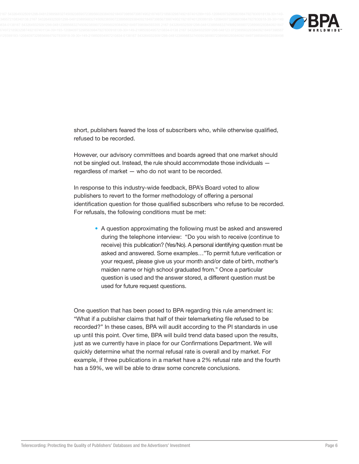

short, publishers feared the loss of subscribers who, while otherwise qualified, refused to be recorded.

However, our advisory committees and boards agreed that one market should not be singled out. Instead, the rule should accommodate those individuals regardless of market - who do not want to be recorded.

In response to this industry-wide feedback, BPA's Board voted to allow publishers to revert to the former methodology of offering a personal identification question for those qualified subscribers who refuse to be recorded. For refusals, the following conditions must be met:

> • A question approximating the following must be asked and answered during the telephone interview: "Do you wish to receive (continue to receive) this publication? (Yes/No). A personal identifying question must be asked and answered. Some examples..."To permit future verification or your request, please give us your month and/or date of birth, mother's maiden name or high school graduated from." Once a particular question is used and the answer stored, a different question must be used for future request questions.

One question that has been posed to BPA regarding this rule amendment is: "What if a publisher claims that half of their telemarketing file refused to be recorded?" In these cases, BPA will audit according to the PI standards in use up until this point. Over time, BPA will build trend data based upon the results, just as we currently have in place for our Confirmations Department. We will quickly determine what the normal refusal rate is overall and by market. For example, if three publications in a market have a 2% refusal rate and the fourth has a 59%, we will be able to draw some concrete conclusions.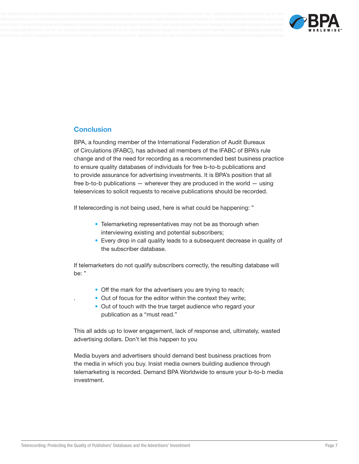

### **Conclusion**

BPA, a founding member of the International Federation of Audit Bureaux of Circulations (IFABC), has advised all members of the IFABC of BPA's rule change and of the need for recording as a recommended best business practice to ensure quality databases of individuals for free b-to-b publications and to provide assurance for advertising investments. It is BPA's position that all free b-to-b publications  $-$  wherever they are produced in the world  $-$  using teleservices to solicit requests to receive publications should be recorded.

If telerecording is not being used, here is what could be happening: "

- Telemarketing representatives may not be as thorough when interviewing existing and potential subscribers;
- Every drop in call quality leads to a subsequent decrease in quality of the subscriber database.

If telemarketers do not qualify subscribers correctly, the resulting database will be: "

- Off the mark for the advertisers you are trying to reach;
- Out of focus for the editor within the context they write;
- Out of touch with the true target audience who regard your publication as a "must read."

This all adds up to lower engagement, lack of response and, ultimately, wasted advertising dollars. Don't let this happen to you

Media buyers and advertisers should demand best business practices from the media in which you buy. Insist media owners building audience through telemarketing is recorded. Demand BPA Worldwide to ensure your b-to-b media investment.